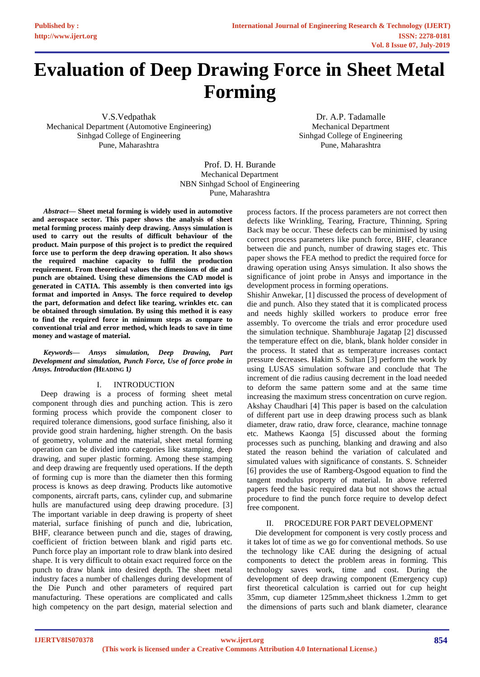# **Evaluation of Deep Drawing Force in Sheet Metal Forming**

V.S.Vedpathak Mechanical Department (Automotive Engineering) Sinhgad College of Engineering Pune, Maharashtra

Dr. A.P. Tadamalle Mechanical Department Sinhgad College of Engineering Pune, Maharashtra

Prof. D. H. Burande Mechanical Department NBN Sinhgad School of Engineering Pune, Maharashtra

*Abstract***— Sheet metal forming is widely used in automotive and aerospace sector. This paper shows the analysis of sheet metal forming process mainly deep drawing. Ansys simulation is used to carry out the results of difficult behaviour of the product. Main purpose of this project is to predict the required force use to perform the deep drawing operation. It also shows the required machine capacity to fulfil the production requirement. From theoretical values the dimensions of die and punch are obtained. Using these dimensions the CAD model is generated in CATIA. This assembly is then converted into igs format and imported in Ansys. The force required to develop the part, deformation and defect like tearing, wrinkles etc. can be obtained through simulation. By using this method it is easy to find the required force in minimum steps as compare to conventional trial and error method, which leads to save in time money and wastage of material.**

*Keywords— Ansys simulation, Deep Drawing, Part Development and simulation, Punch Force, Use of force probe in Ansys. Introduction (***HEADING 1***)*

#### I. INTRODUCTION

Deep drawing is a process of forming sheet metal component through dies and punching action. This is zero forming process which provide the component closer to required tolerance dimensions, good surface finishing, also it provide good strain hardening, higher strength. On the basis of geometry, volume and the material, sheet metal forming operation can be divided into categories like stamping, deep drawing, and super plastic forming. Among these stamping and deep drawing are frequently used operations. If the depth of forming cup is more than the diameter then this forming process is knows as deep drawing. Products like automotive components, aircraft parts, cans, cylinder cup, and submarine hulls are manufactured using deep drawing procedure. [3] The important variable in deep drawing is property of sheet material, surface finishing of punch and die, lubrication, BHF, clearance between punch and die, stages of drawing, coefficient of friction between blank and rigid parts etc. Punch force play an important role to draw blank into desired shape. It is very difficult to obtain exact required force on the punch to draw blank into desired depth. The sheet metal industry faces a number of challenges during development of the Die Punch and other parameters of required part manufacturing. These operations are complicated and calls high competency on the part design, material selection and process factors. If the process parameters are not correct then defects like Wrinkling, Tearing, Fracture, Thinning, Spring Back may be occur. These defects can be minimised by using correct process parameters like punch force, BHF, clearance between die and punch, number of drawing stages etc. This paper shows the FEA method to predict the required force for drawing operation using Ansys simulation. It also shows the significance of joint probe in Ansys and importance in the development process in forming operations.

Shishir Anwekar, [1] discussed the process of development of die and punch. Also they stated that it is complicated process and needs highly skilled workers to produce error free assembly. To overcome the trials and error procedure used the simulation technique. Shambhuraje Jagatap [2] discussed the temperature effect on die, blank, blank holder consider in the process. It stated that as temperature increases contact pressure decreases. Hakim S. Sultan [3] perform the work by using LUSAS simulation software and conclude that The increment of die radius causing decrement in the load needed to deform the same pattern some and at the same time increasing the maximum stress concentration on curve region. Akshay Chaudhari [4] This paper is based on the calculation of different part use in deep drawing process such as blank diameter, draw ratio, draw force, clearance, machine tonnage etc. Mathews Kaonga [5] discussed about the forming processes such as punching, blanking and drawing and also stated the reason behind the variation of calculated and simulated values with significance of constants. S. Schneider [6] provides the use of Ramberg-Osgood equation to find the tangent modulus property of material. In above referred papers feed the basic required data but not shows the actual procedure to find the punch force require to develop defect free component.

#### PROCEDURE FOR PART DEVELOPMENT

Die development for component is very costly process and it takes lot of time as we go for conventional methods. So use the technology like CAE during the designing of actual components to detect the problem areas in forming. This technology saves work, time and cost. During the development of deep drawing component (Emergency cup) first theoretical calculation is carried out for cup height 35mm, cup diameter 125mm,sheet thickness 1.2mm to get the dimensions of parts such and blank diameter, clearance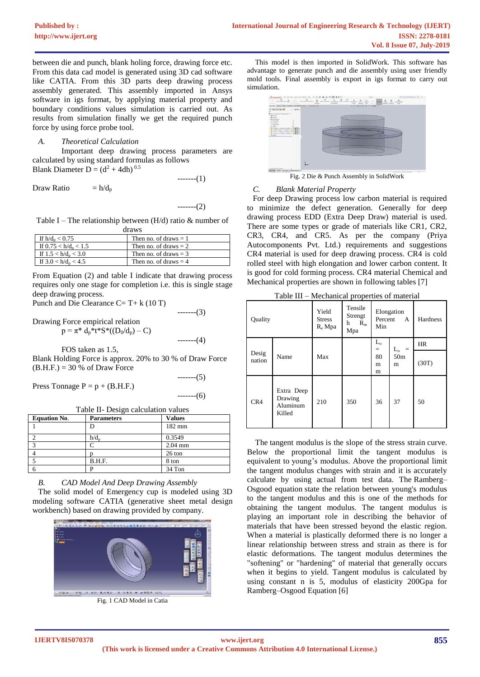between die and punch, blank holing force, drawing force etc. From this data cad model is generated using 3D cad software like CATIA. From this 3D parts deep drawing process assembly generated. This assembly imported in Ansys software in igs format, by applying material property and boundary conditions values simulation is carried out. As results from simulation finally we get the required punch force by using force probe tool.

## *A. Theoretical Calculation*

Important deep drawing process parameters are calculated by using standard formulas as follows Blank Diameter D =  $(d^2 + 4dh)^{0.5}$ 

-------(1)

Draw Ratio  $= h/d_p$ 

-------(2)

Table I – The relationship between  $(H/d)$  ratio & number of draws

| <b></b>                 |                         |  |
|-------------------------|-------------------------|--|
| If $h/d_n < 0.75$       | Then no. of draws $= 1$ |  |
| If $0.75 < h/d_n < 1.5$ | Then no. of draws $= 2$ |  |
| If $1.5 < h/d_n < 3.0$  | Then no. of draws $=$ 3 |  |
| If $3.0 < h/d_n < 4.5$  | Then no. of draws $=$ 4 |  |

From Equation (2) and table I indicate that drawing process requires only one stage for completion i.e. this is single stage deep drawing process.

Punch and Die Clearance C= T+ $k(10T)$ 

Drawing Force empirical relation  $p = \pi^* d_p^* t^* S^* ((D_0/d_p) - C)$ 

-------(4)

-------(3)

FOS taken as 1.5,

Blank Holding Force is approx. 20% to 30 % of Draw Force  $(B.H.F.) = 30 % of Draw Force$ 

Press Tonnage  $P = p + (B.H.F.)$ 

-------(6)

-------(5)

Table II- Design calculation values

| <b>Equation No.</b> | <b>Parameters</b> | <b>Values</b> |
|---------------------|-------------------|---------------|
|                     |                   | 182 mm        |
|                     | $h/d_p$           | 0.3549        |
|                     |                   | $2.04$ mm     |
|                     |                   | 26 ton        |
|                     | B.H.F.            | 8 ton         |
|                     |                   | 34 Ton        |

*B. CAD Model And Deep Drawing Assembly* 

The solid model of Emergency cup is modeled using 3D modeling software CATIA (generative sheet metal design workbench) based on drawing provided by company.



Fig. 1 CAD Model in Catia

This model is then imported in SolidWork. This software has advantage to generate punch and die assembly using user friendly mold tools. Final assembly is export in igs format to carry out simulation.



Fig. 2 Die & Punch Assembly in SolidWork

# *C. Blank Material Property*

For deep Drawing process low carbon material is required to minimize the defect generation. Generally for deep drawing process EDD (Extra Deep Draw) material is used. There are some types or grade of materials like CR1, CR2, CR3, CR4, and CR5. As per the company (Priya Autocomponents Pvt. Ltd.) requirements and suggestions CR4 material is used for deep drawing process. CR4 is cold rolled steel with high elongation and lower carbon content. It is good for cold forming process. CR4 material Chemical and Mechanical properties are shown in following tables [7]

Table III – Mechanical properties of material

| Quality         |                                             | Yield<br><b>Stress</b><br>R <sub>e</sub> Mpa | Tensile<br>Strengt<br>h<br>$R_{m}$<br>Mpa | Elongation<br>Percent<br>A<br>Min |                      | Hardness  |
|-----------------|---------------------------------------------|----------------------------------------------|-------------------------------------------|-----------------------------------|----------------------|-----------|
|                 |                                             |                                              |                                           | $L_{o}$<br>$=$                    | $L_{o}$<br>$=$       | <b>HR</b> |
| Desig<br>nation | Name                                        | Max                                          |                                           | 80<br>m<br>m                      | 50 <sub>m</sub><br>m | (30T)     |
| CR4             | Extra Deep<br>Drawing<br>Aluminum<br>Killed | 210                                          | 350                                       | 36                                | 37                   | 50        |

The tangent modulus is the slope of the stress strain curve. Below the proportional limit the tangent modulus is equivalent to young's modulus. Above the proportional limit the tangent modulus changes with strain and it is accurately calculate by using actual from test data. The Ramberg– Osgood equation state the relation between young's modulus to the tangent modulus and this is one of the methods for obtaining the tangent modulus. The tangent modulus is playing an important role in describing the behavior of materials that have been stressed beyond the elastic region. When a material is plastically deformed there is no longer a linear relationship between stress and strain as there is for elastic deformations. The tangent modulus determines the "softening" or "hardening" of material that generally occurs when it begins to yield. Tangent modulus is calculated by using constant n is 5, modulus of elasticity 200Gpa for Ramberg–Osgood Equation [6]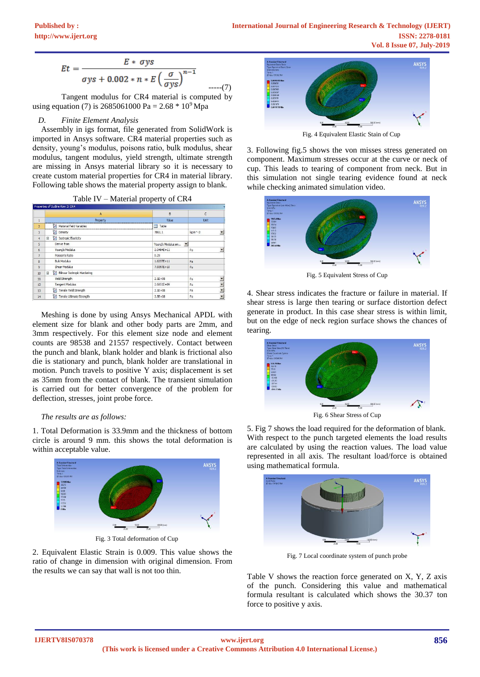$$
Et = \frac{E * \sigma ys}{\sigma ys + 0.002 * n * E \left(\frac{\sigma}{\sigma ys}\right)^{n-1}}
$$
........(7)

Tangent modulus for CR4 material is computed by using equation (7) is 2685061000 Pa =  $2.68 * 10^9$  Mpa

## *D. Finite Element Analysis*

Assembly in igs format, file generated from SolidWork is imported in Ansys software. CR4 material properties such as density, young's modulus, poisons ratio, bulk modulus, shear modulus, tangent modulus, yield strength, ultimate strength are missing in Ansys material library so it is necessary to create custom material properties for CR4 in material library. Following table shows the material property assign to blank.

|                | Properties of Outline Row 3: CR4 |                    |                                     |
|----------------|----------------------------------|--------------------|-------------------------------------|
|                | A                                | $\overline{B}$     | C                                   |
| $\overline{1}$ | Property                         | Value              | Unit                                |
| $\overline{2}$ | Material Field Variables         | Table              |                                     |
| $\overline{3}$ | Pensity                          | 7861.1             | $\overline{\phantom{a}}$<br>kg m^-3 |
| 4              | Isotropic Elasticity<br>$\Box$   |                    |                                     |
| $\overline{5}$ | Derive from                      | Young's Modulus an | $\blacksquare$                      |
| $\ddot{\rm 6}$ | Young's Modulus                  | $2.0484E + 11$     | Pa<br>$\overline{\phantom{a}}$      |
| $\overline{7}$ | Poisson's Ratio                  | 0.29               |                                     |
| 8              | <b>Bulk Modulus</b>              | $1.6257E + 11$     | Pa                                  |
| $\overline{9}$ | Shear Modulus                    | 7.9397E+10         | Pa                                  |
| 10             | Blinear Isotropic Hardening<br>Ξ |                    |                                     |
| 11             | Yield Strength                   | $2.1E + 0.8$       | Pa<br>$\overline{\phantom{a}}$      |
| 12             | <b>Tangent Modulus</b>           | 2.6851E+09         | $\overline{\phantom{a}}$<br>Pa      |
| 13             | 诏<br>Tensile Yield Strength      | $2.1E + 08$        | $\ddot{}$<br>Pa                     |
| 14             | Y<br>Tensile Ultimate Strength   | $3.5E + 08$        | $\blacksquare$<br>Pa                |

Table IV – Material property of CR4

Meshing is done by using Ansys Mechanical APDL with element size for blank and other body parts are 2mm, and 3mm respectively. For this element size node and element counts are 98538 and 21557 respectively. Contact between the punch and blank, blank holder and blank is frictional also die is stationary and punch, blank holder are translational in motion. Punch travels to positive Y axis; displacement is set as 35mm from the contact of blank. The transient simulation is carried out for better convergence of the problem for deflection, stresses, joint probe force.

#### *The results are as follows:*

1. Total Deformation is 33.9mm and the thickness of bottom circle is around 9 mm. this shows the total deformation is within acceptable value.



Fig. 3 Total deformation of Cup

2. Equivalent Elastic Strain is 0.009. This value shows the ratio of change in dimension with original dimension. From the results we can say that wall is not too thin.



Fig. 4 Equivalent Elastic Stain of Cup

3. Following fig.5 shows the von misses stress generated on component. Maximum stresses occur at the curve or neck of cup. This leads to tearing of component from neck. But in this simulation not single tearing evidence found at neck while checking animated simulation video.



Fig. 5 Equivalent Stress of Cup

4. Shear stress indicates the fracture or failure in material. If shear stress is large then tearing or surface distortion defect generate in product. In this case shear stress is within limit, but on the edge of neck region surface shows the chances of tearing.



Fig. 6 Shear Stress of Cup

5. Fig 7 shows the load required for the deformation of blank. With respect to the punch targeted elements the load results are calculated by using the reaction values. The load value represented in all axis. The resultant load/force is obtained using mathematical formula.



Fig. 7 Local coordinate system of punch probe

Table V shows the reaction force generated on X, Y, Z axis of the punch. Considering this value and mathematical formula resultant is calculated which shows the 30.37 ton force to positive y axis.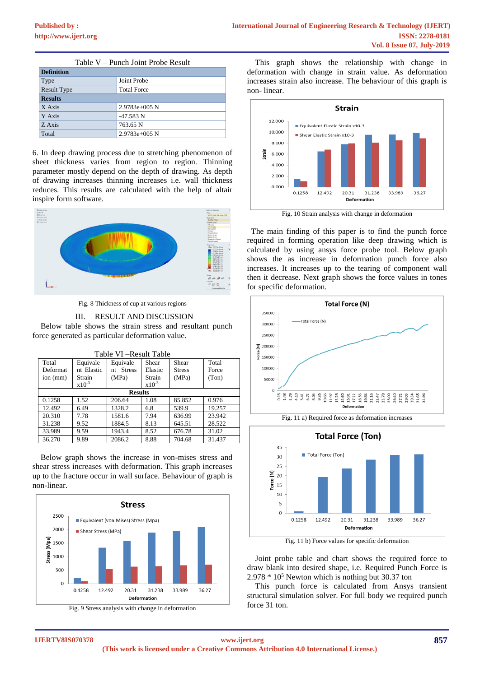| Table V – Punch Joint Probe Result       |                 |  |
|------------------------------------------|-----------------|--|
| <b>Definition</b>                        |                 |  |
| Type                                     | Joint Probe     |  |
| <b>Result Type</b><br><b>Total Force</b> |                 |  |
| <b>Results</b>                           |                 |  |
| X Axis                                   | $2.9783e+005N$  |  |
| Y Axis                                   | $-47.583$ N     |  |
| Z Axis                                   | 763.65 N        |  |
| Total                                    | $2.9783e+005$ N |  |

6. In deep drawing process due to stretching phenomenon of sheet thickness varies from region to region. Thinning parameter mostly depend on the depth of drawing. As depth of drawing increases thinning increases i.e. wall thickness reduces. This results are calculated with the help of altair inspire form software.



Fig. 8 Thickness of cup at various regions

#### III. RESULT AND DISCUSSION

Below table shows the strain stress and resultant punch force generated as particular deformation value.

| TAVIC VI – INCSUIL TAVIC |            |                     |            |               |        |
|--------------------------|------------|---------------------|------------|---------------|--------|
| Total                    | Equivale   | Equivale            | Shear      | Shear         | Total  |
| <b>Deformat</b>          | nt Elastic | <b>Stress</b><br>nt | Elastic    | <b>Stress</b> | Force  |
| ion (mm)                 | Strain     | (MPa)               | Strain     | (MPa)         | (Ton)  |
|                          | $x10^{-3}$ |                     | $x10^{-3}$ |               |        |
| <b>Results</b>           |            |                     |            |               |        |
| 0.1258                   | 1.52       | 206.64              | 1.08       | 85.852        | 0.976  |
| 12.492                   | 6.49       | 1328.2              | 6.8        | 539.9         | 19.257 |
| 20.310                   | 7.78       | 1581.6              | 7.94       | 636.99        | 23.942 |
| 31.238                   | 9.52       | 1884.5              | 8.13       | 645.51        | 28.522 |
| 33.989                   | 9.59       | 1943.4              | 8.52       | 676.78        | 31.02  |
| 36.270                   | 9.89       | 2086.2              | 8.88       | 704.68        | 31.437 |

Table VI –Result Table

Below graph shows the increase in von-mises stress and shear stress increases with deformation. This graph increases up to the fracture occur in wall surface. Behaviour of graph is non-linear.



Fig. 9 Stress analysis with change in deformation

 This graph shows the relationship with change in deformation with change in strain value. As deformation increases strain also increase. The behaviour of this graph is non- linear.



 The main finding of this paper is to find the punch force required in forming operation like deep drawing which is calculated by using ansys force probe tool. Below graph shows the as increase in deformation punch force also increases. It increases up to the tearing of component wall then it decrease. Next graph shows the force values in tones for specific deformation.



Fig. 11 b) Force values for specific deformation

Joint probe table and chart shows the required force to draw blank into desired shape, i.e. Required Punch Force is 2.978 \* 10<sup>5</sup> Newton which is nothing but 30.37 ton

This punch force is calculated from Ansys transient structural simulation solver. For full body we required punch force 31 ton.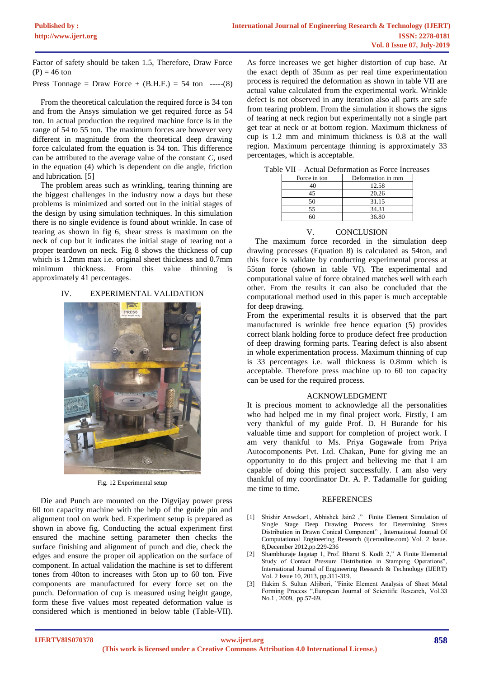Factor of safety should be taken 1.5, Therefore, Draw Force  $(P) = 46$  ton

Press Tonnage = Draw Force +  $(B.H.F.) = 54$  ton -----(8)

From the theoretical calculation the required force is 34 ton and from the Ansys simulation we get required force as 54 ton. In actual production the required machine force is in the range of 54 to 55 ton. The maximum forces are however very different in magnitude from the theoretical deep drawing force calculated from the equation is 34 ton. This difference can be attributed to the average value of the constant *C,* used in the equation (4) which is dependent on die angle, friction and lubrication. [5]

The problem areas such as wrinkling, tearing thinning are the biggest challenges in the industry now a days but these problems is minimized and sorted out in the initial stages of the design by using simulation techniques. In this simulation there is no single evidence is found about wrinkle. In case of tearing as shown in fig 6, shear stress is maximum on the neck of cup but it indicates the initial stage of tearing not a proper teardown on neck. Fig 8 shows the thickness of cup which is 1.2mm max i.e. original sheet thickness and 0.7mm minimum thickness. From this value thinning is approximately 41 percentages.

# IV. EXPERIMENTAL VALIDATION



Fig. 12 Experimental setup

Die and Punch are mounted on the Digvijay power press 60 ton capacity machine with the help of the guide pin and alignment tool on work bed. Experiment setup is prepared as shown in above fig. Conducting the actual experiment first ensured the machine setting parameter then checks the surface finishing and alignment of punch and die, check the edges and ensure the proper oil application on the surface of component. In actual validation the machine is set to different tones from 40ton to increases with 5ton up to 60 ton. Five components are manufactured for every force set on the punch. Deformation of cup is measured using height gauge, form these five values most repeated deformation value is considered which is mentioned in below table (Table-VII).

As force increases we get higher distortion of cup base. At the exact depth of 35mm as per real time experimentation process is required the deformation as shown in table VII are actual value calculated from the experimental work. Wrinkle defect is not observed in any iteration also all parts are safe from tearing problem. From the simulation it shows the signs of tearing at neck region but experimentally not a single part get tear at neck or at bottom region. Maximum thickness of cup is 1.2 mm and minimum thickness is 0.8 at the wall region. Maximum percentage thinning is approximately 33 percentages, which is acceptable.

| Force in ton | Deformation in mm |  |  |
|--------------|-------------------|--|--|
| 40           | 12.58             |  |  |
| 45           | 20.26             |  |  |
| 50           | 31.15             |  |  |
| 55           | 34.31             |  |  |
|              | 36.80             |  |  |
|              |                   |  |  |

Table VII – Actual Deformation as Force Increases

# V. CONCLUSION

The maximum force recorded in the simulation deep drawing processes (Equation 8) is calculated as 54ton, and this force is validate by conducting experimental process at 55ton force (shown in table VI). The experimental and computational value of force obtained matches well with each other. From the results it can also be concluded that the computational method used in this paper is much acceptable for deep drawing.

From the experimental results it is observed that the part manufactured is wrinkle free hence equation (5) provides correct blank holding force to produce defect free production of deep drawing forming parts. Tearing defect is also absent in whole experimentation process. Maximum thinning of cup is 33 percentages i.e. wall thickness is 0.8mm which is acceptable. Therefore press machine up to 60 ton capacity can be used for the required process.

# ACKNOWLEDGMENT

It is precious moment to acknowledge all the personalities who had helped me in my final project work. Firstly, I am very thankful of my guide Prof. D. H Burande for his valuable time and support for completion of project work. I am very thankful to Ms. Priya Gogawale from Priya Autocomponents Pvt. Ltd. Chakan, Pune for giving me an opportunity to do this project and believing me that I am capable of doing this project successfully. I am also very thankful of my coordinator Dr. A. P. Tadamalle for guiding me time to time.

## **REFERENCES**

- [1] Shishir Anwekar1, Abhishek Jain2 ," Finite Element Simulation of Single Stage Deep Drawing Process for Determining Stress Distribution in Drawn Conical Component" , International Journal Of Computational Engineering Research (ijceronline.com) Vol. 2 Issue. 8,December 2012,pp.229-236
- [2] Shambhuraje Jagatap 1, Prof. Bharat S. Kodli 2," A Finite Elemental Study of Contact Pressure Distribution in Stamping Operations", International Journal of Engineering Research & Technology (IJERT) Vol. 2 Issue 10, 2013, pp.311-319.
- Hakim S. Sultan Aljibori, "Finite Element Analysis of Sheet Metal Forming Process ",European Journal of Scientific Research, Vol.33 No.1 , 2009, pp.57-69.